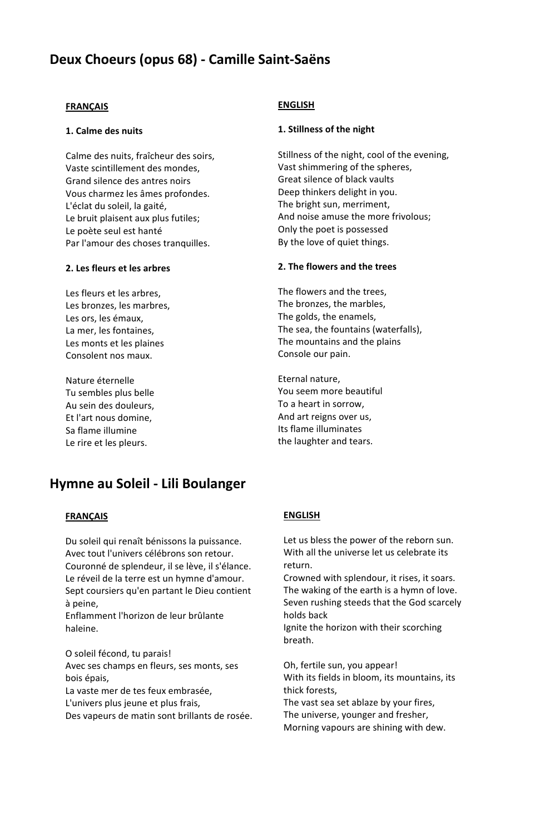# **Deux Choeurs (opus 68) - Camille Saint-Saëns**

### **FRANÇAIS**

### **1. Calme des nuits**

Calme des nuits, fraîcheur des soirs, Vaste scintillement des mondes, Grand silence des antres noirs Vous charmez les âmes profondes. L'éclat du soleil, la gaité, Le bruit plaisent aux plus futiles; Le poète seul est hanté Par l'amour des choses tranquilles.

### **2. Les fleurs et les arbres**

Les fleurs et les arbres, Les bronzes, les marbres, Les ors, les émaux, La mer, les fontaines, Les monts et les plaines Consolent nos maux.

Nature éternelle Tu sembles plus belle Au sein des douleurs, Et l'art nous domine, Sa flame illumine Le rire et les pleurs.

## **ENGLISH**

### **1. Stillness of the night**

Stillness of the night, cool of the evening, Vast shimmering of the spheres, Great silence of black vaults Deep thinkers delight in you. The bright sun, merriment, And noise amuse the more frivolous; Only the poet is possessed By the love of quiet things.

### **2. The flowers and the trees**

The flowers and the trees, The bronzes, the marbles, The golds, the enamels, The sea, the fountains (waterfalls), The mountains and the plains Console our pain.

Eternal nature, You seem more beautiful To a heart in sorrow, And art reigns over us, Its flame illuminates the laughter and tears.

# **Hymne au Soleil - Lili Boulanger**

### **FRANÇAIS**

Du soleil qui renaît bénissons la puissance. Avec tout l'univers célébrons son retour. Couronné de splendeur, il se lève, il s'élance. Le réveil de la terre est un hymne d'amour. Sept coursiers qu'en partant le Dieu contient à peine,

Enflamment l'horizon de leur brûlante haleine.

O soleil fécond, tu parais! Avec ses champs en fleurs, ses monts, ses bois épais,

La vaste mer de tes feux embrasée,

L'univers plus jeune et plus frais,

Des vapeurs de matin sont brillants de rosée.

## **ENGLISH**

Let us bless the power of the reborn sun. With all the universe let us celebrate its return.

Crowned with splendour, it rises, it soars. The waking of the earth is a hymn of love. Seven rushing steeds that the God scarcely holds back

Ignite the horizon with their scorching breath.

Oh, fertile sun, you appear! With its fields in bloom, its mountains, its thick forests,

The vast sea set ablaze by your fires, The universe, younger and fresher, Morning vapours are shining with dew.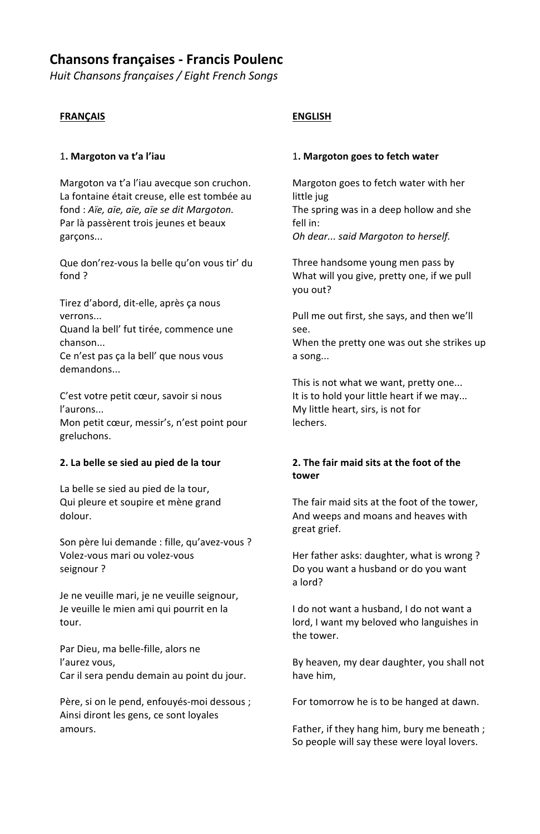# **Chansons françaises - Francis Poulenc**

*Huit Chansons françaises / Eight French Songs*

## **FRANÇAIS**

## 1**. Margoton va t'a l'iau**

Margoton va t'a l'iau avecque son cruchon. La fontaine était creuse, elle est tombée au fond : *Aïe, aïe, aïe, aïe se dit Margoton.* Par là passèrent trois jeunes et beaux garçons...

Que don'rez-vous la belle qu'on vous tir' du fond ?

Tirez d'abord, dit-elle, après ça nous verrons...

Quand la bell' fut tirée, commence une chanson...

Ce n'est pas ça la bell' que nous vous demandons...

C'est votre petit cœur, savoir si nous l'aurons... Mon petit cœur, messir's, n'est point pour greluchons.

## **2. La belle se sied au pied de la tour**

La belle se sied au pied de la tour, Qui pleure et soupire et mène grand dolour.

Son père lui demande : fille, qu'avez-vous ? Volez-vous mari ou volez-vous seignour ?

Je ne veuille mari, je ne veuille seignour, Je veuille le mien ami qui pourrit en la tour.

Par Dieu, ma belle-fille, alors ne l'aurez vous, Car il sera pendu demain au point du jour.

Père, si on le pend, enfouyés-moi dessous ; Ainsi diront les gens, ce sont loyales amours.

## **ENGLISH**

### 1**. Margoton goes to fetch water**

Margoton goes to fetch water with her little jug The spring was in a deep hollow and she fell in: *Oh dear... said Margoton to herself.*

Three handsome young men pass by What will you give, pretty one, if we pull you out?

Pull me out first, she says, and then we'll see. When the pretty one was out she strikes up a song...

This is not what we want, pretty one... It is to hold your little heart if we may... My little heart, sirs, is not for lechers.

## **2. The fair maid sits at the foot of the tower**

The fair maid sits at the foot of the tower, And weeps and moans and heaves with great grief.

Her father asks: daughter, what is wrong ? Do you want a husband or do you want a lord?

I do not want a husband, I do not want a lord, I want my beloved who languishes in the tower.

By heaven, my dear daughter, you shall not have him,

For tomorrow he is to be hanged at dawn.

Father, if they hang him, bury me beneath ; So people will say these were loyal lovers.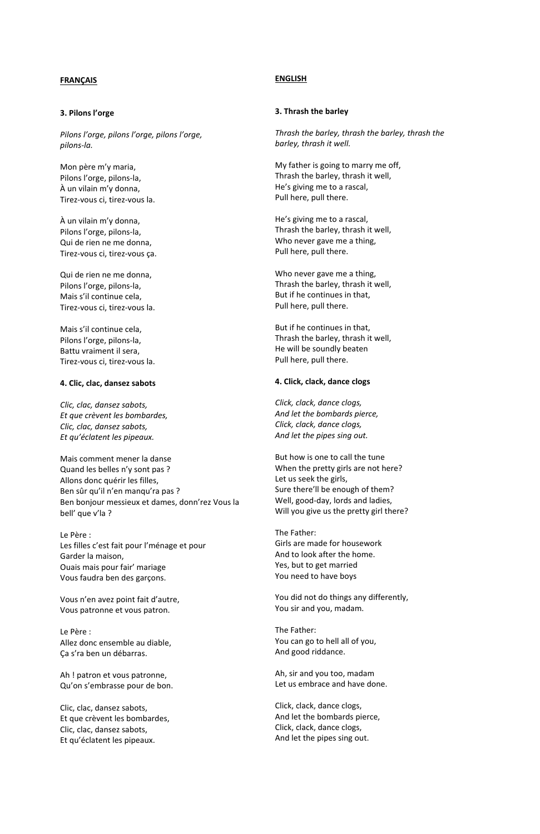#### **3. Pilons l'orge**

*Pilons l'orge, pilons l'orge, pilons l'orge, pilons-la.*

Mon père m'y maria, Pilons l'orge, pilons-la, À un vilain m'y donna, Tirez-vous ci, tirez-vous la.

À un vilain m'y donna, Pilons l'orge, pilons-la, Qui de rien ne me donna, Tirez-vous ci, tirez-vous ça.

Qui de rien ne me donna, Pilons l'orge, pilons-la, Mais s'il continue cela, Tirez-vous ci, tirez-vous la.

Mais s'il continue cela, Pilons l'orge, pilons-la, Battu vraiment il sera, Tirez-vous ci, tirez-vous la.

#### **4. Clic, clac, dansez sabots**

*Clic, clac, dansez sabots, Et que crèvent les bombardes, Clic, clac, dansez sabots, Et qu'éclatent les pipeaux.*

Mais comment mener la danse Quand les belles n'y sont pas ? Allons donc quérir les filles, Ben sûr qu'il n'en manqu'ra pas ? Ben bonjour messieux et dames, donn'rez Vous la bell' que v'la ?

Le Père : Les filles c'est fait pour l'ménage et pour Garder la maison, Ouais mais pour fair' mariage Vous faudra ben des garçons.

Vous n'en avez point fait d'autre, Vous patronne et vous patron.

Le Père : Allez donc ensemble au diable, Ça s'ra ben un débarras.

Ah ! patron et vous patronne, Qu'on s'embrasse pour de bon.

Clic, clac, dansez sabots, Et que crèvent les bombardes, Clic, clac, dansez sabots, Et qu'éclatent les pipeaux.

### **ENGLISH**

#### **3. Thrash the barley**

*Thrash the barley, thrash the barley, thrash the barley, thrash it well.*

My father is going to marry me off, Thrash the barley, thrash it well, He's giving me to a rascal, Pull here, pull there.

He's giving me to a rascal, Thrash the barley, thrash it well, Who never gave me a thing, Pull here, pull there.

Who never gave me a thing, Thrash the barley, thrash it well, But if he continues in that, Pull here, pull there.

But if he continues in that, Thrash the barley, thrash it well, He will be soundly beaten Pull here, pull there.

#### **4. Click, clack, dance clogs**

*Click, clack, dance clogs, And let the bombards pierce, Click, clack, dance clogs, And let the pipes sing out.*

But how is one to call the tune When the pretty girls are not here? Let us seek the girls, Sure there'll be enough of them? Well, good-day, lords and ladies, Will you give us the pretty girl there?

The Father: Girls are made for housework And to look after the home. Yes, but to get married You need to have boys

You did not do things any differently, You sir and you, madam.

The Father: You can go to hell all of you, And good riddance.

Ah, sir and you too, madam Let us embrace and have done.

Click, clack, dance clogs, And let the bombards pierce, Click, clack, dance clogs, And let the pipes sing out.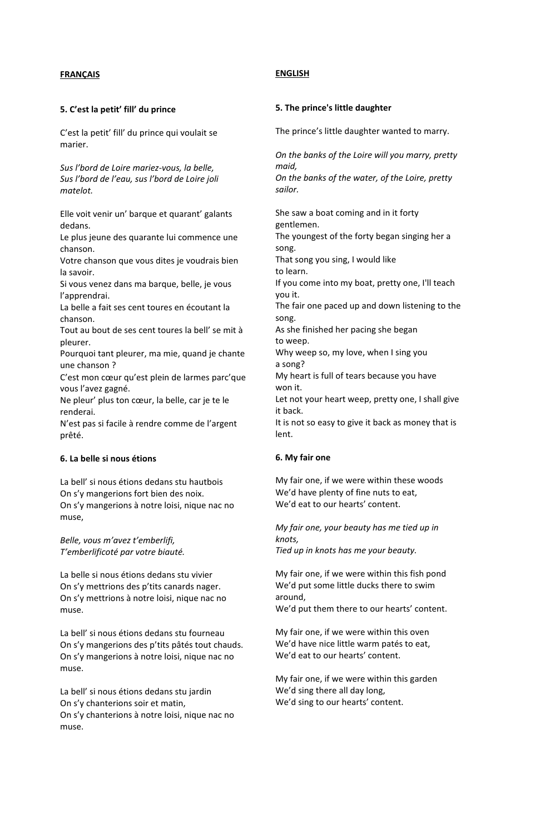### **5. C'est la petit' fill' du prince**

C'est la petit' fill' du prince qui voulait se marier.

*Sus l'bord de Loire mariez-vous, la belle, Sus l'bord de l'eau, sus l'bord de Loire joli matelot.*

Elle voit venir un' barque et quarant' galants dedans.

Le plus jeune des quarante lui commence une chanson.

Votre chanson que vous dites je voudrais bien la savoir.

Si vous venez dans ma barque, belle, je vous l'apprendrai.

La belle a fait ses cent toures en écoutant la chanson.

Tout au bout de ses cent toures la bell' se mit à pleurer.

Pourquoi tant pleurer, ma mie, quand je chante une chanson ?

C'est mon cœur qu'est plein de larmes parc'que vous l'avez gagné.

Ne pleur' plus ton cœur, la belle, car je te le renderai.

N'est pas si facile à rendre comme de l'argent prêté.

### **6. La belle si nous étions**

La bell' si nous étions dedans stu hautbois On s'y mangerions fort bien des noix. On s'y mangerions à notre loisi, nique nac no muse,

*Belle, vous m'avez t'emberlifi, T'emberlificoté par votre biauté.*

La belle si nous étions dedans stu vivier On s'y mettrions des p'tits canards nager. On s'y mettrions à notre loisi, nique nac no muse.

La bell' si nous étions dedans stu fourneau On s'y mangerions des p'tits pâtés tout chauds. On s'y mangerions à notre loisi, nique nac no muse.

La bell' si nous étions dedans stu jardin On s'y chanterions soir et matin, On s'y chanterions à notre loisi, nique nac no muse.

#### **ENGLISH**

#### **5. The prince's little daughter**

The prince's little daughter wanted to marry.

*On the banks of the Loire will you marry, pretty maid, On the banks of the water, of the Loire, pretty sailor.*

She saw a boat coming and in it forty gentlemen. The youngest of the forty began singing her a song. That song you sing, I would like to learn. If you come into my boat, pretty one, I'll teach you it. The fair one paced up and down listening to the song. As she finished her pacing she began to weep. Why weep so, my love, when I sing you a song? My heart is full of tears because you have won it. Let not your heart weep, pretty one, I shall give it back. It is not so easy to give it back as money that is lent.

#### **6. My fair one**

My fair one, if we were within these woods We'd have plenty of fine nuts to eat, We'd eat to our hearts' content.

*My fair one, your beauty has me tied up in knots,*

*Tied up in knots has me your beauty.*

My fair one, if we were within this fish pond We'd put some little ducks there to swim around, We'd put them there to our hearts' content.

My fair one, if we were within this oven We'd have nice little warm patés to eat, We'd eat to our hearts' content.

My fair one, if we were within this garden We'd sing there all day long, We'd sing to our hearts' content.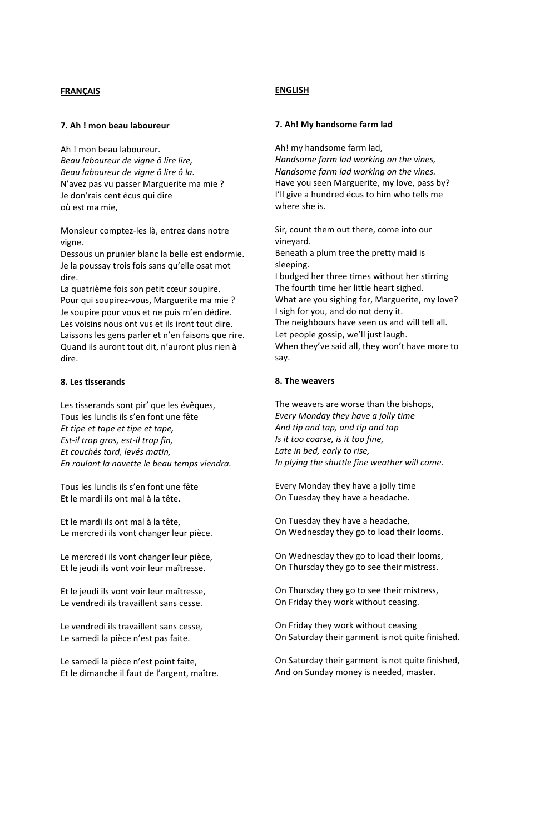#### **7. Ah ! mon beau laboureur**

Ah ! mon beau laboureur. *Beau laboureur de vigne ô lire lire, Beau laboureur de vigne ô lire ô la.* N'avez pas vu passer Marguerite ma mie ? Je don'rais cent écus qui dire où est ma mie,

Monsieur comptez-les là, entrez dans notre vigne.

Dessous un prunier blanc la belle est endormie. Je la poussay trois fois sans qu'elle osat mot dire.

La quatrième fois son petit cœur soupire. Pour qui soupirez-vous, Marguerite ma mie ? Je soupire pour vous et ne puis m'en dédire. Les voisins nous ont vus et ils iront tout dire. Laissons les gens parler et n'en faisons que rire. Quand ils auront tout dit, n'auront plus rien à dire.

### **8. Les tisserands**

Les tisserands sont pir' que les évêques, Tous les lundis ils s'en font une fête *Et tipe et tape et tipe et tape, Est-il trop gros, est-il trop fin, Et couchés tard, levés matin, En roulant la navette le beau temps viendra.*

Tous les lundis ils s'en font une fête Et le mardi ils ont mal à la tête.

Et le mardi ils ont mal à la tête, Le mercredi ils vont changer leur pièce.

Le mercredi ils vont changer leur pièce, Et le jeudi ils vont voir leur maîtresse.

Et le jeudi ils vont voir leur maîtresse, Le vendredi ils travaillent sans cesse.

Le vendredi ils travaillent sans cesse, Le samedi la pièce n'est pas faite.

Le samedi la pièce n'est point faite, Et le dimanche il faut de l'argent, maître.

#### **ENGLISH**

### **7. Ah! My handsome farm lad**

Ah! my handsome farm lad, *Handsome farm lad working on the vines, Handsome farm lad working on the vines.* Have you seen Marguerite, my love, pass by? I'll give a hundred écus to him who tells me where she is.

Sir, count them out there, come into our vineyard. Beneath a plum tree the pretty maid is sleeping. I budged her three times without her stirring The fourth time her little heart sighed. What are you sighing for, Marguerite, my love? I sigh for you, and do not deny it. The neighbours have seen us and will tell all. Let people gossip, we'll just laugh. When they've said all, they won't have more to say.

### **8. The weavers**

The weavers are worse than the bishops, *Every Monday they have a jolly time And tip and tap, and tip and tap Is it too coarse, is it too fine, Late in bed, early to rise, In plying the shuttle fine weather will come.*

Every Monday they have a jolly time On Tuesday they have a headache.

On Tuesday they have a headache, On Wednesday they go to load their looms.

On Wednesday they go to load their looms, On Thursday they go to see their mistress.

On Thursday they go to see their mistress, On Friday they work without ceasing.

On Friday they work without ceasing On Saturday their garment is not quite finished.

On Saturday their garment is not quite finished, And on Sunday money is needed, master.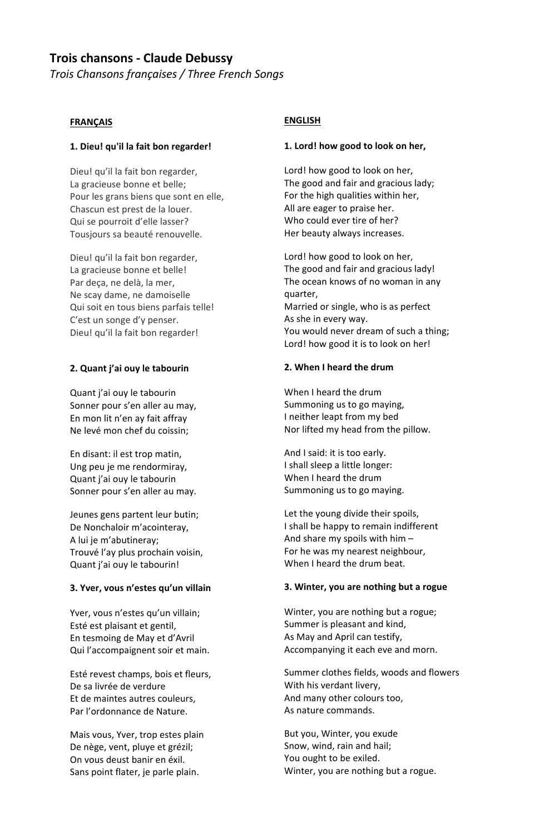# **Trois chansons - Claude Debussy**

*Trois Chansons françaises / Three French Songs*

### **FRANÇAIS**

### **1. Dieu! qu'il la fait bon regarder!**

Dieu! qu'il la fait bon regarder, La gracieuse bonne et belle; Pour les grans biens que sont en elle, Chascun est prest de la louer. Qui se pourroit d'elle lasser? Tousjours sa beauté renouvelle.

Dieu! qu'il la fait bon regarder, La gracieuse bonne et belle! Par deça, ne delà, la mer, Ne scay dame, ne damoiselle Qui soit en tous biens parfais telle! C'est un songe d'y penser. Dieu! qu'il la fait bon regarder!

### **2. Quant j'ai ouy le tabourin**

Quant j'ai ouy le tabourin Sonner pour s'en aller au may, En mon lit n'en ay fait affray Ne levé mon chef du coissin;

En disant: il est trop matin, Ung peu je me rendormiray, Quant j'ai ouy le tabourin Sonner pour s'en aller au may.

Jeunes gens partent leur butin; De Nonchaloir m'acointeray, A lui je m'abutineray; Trouvé l'ay plus prochain voisin, Quant j'ai ouy le tabourin!

### **3. Yver, vous n'estes qu'un villain**

Yver, vous n'estes qu'un villain; Esté est plaisant et gentil, En tesmoing de May et d'Avril Qui l'accompaignent soir et main.

Esté revest champs, bois et fleurs, De sa livrée de verdure Et de maintes autres couleurs, Par l'ordonnance de Nature.

Mais vous, Yver, trop estes plain De nège, vent, pluye et grézil; On vous deust banir en éxil. Sans point flater, je parle plain.

## **ENGLISH**

### **1. Lord! how good to look on her,**

Lord! how good to look on her, The good and fair and gracious lady; For the high qualities within her, All are eager to praise her. Who could ever tire of her? Her beauty always increases.

Lord! how good to look on her, The good and fair and gracious lady! The ocean knows of no woman in any quarter, Married or single, who is as perfect As she in every way. You would never dream of such a thing; Lord! how good it is to look on her!

## **2. When I heard the drum**

When I heard the drum Summoning us to go maying, I neither leapt from my bed Nor lifted my head from the pillow.

And I said: it is too early. I shall sleep a little longer: When I heard the drum Summoning us to go maying.

Let the young divide their spoils, I shall be happy to remain indifferent And share my spoils with him – For he was my nearest neighbour, When I heard the drum beat.

### **3. Winter, you are nothing but a rogue**

Winter, you are nothing but a rogue; Summer is pleasant and kind, As May and April can testify, Accompanying it each eve and morn.

Summer clothes fields, woods and flowers With his verdant livery, And many other colours too, As nature commands.

But you, Winter, you exude Snow, wind, rain and hail; You ought to be exiled. Winter, you are nothing but a rogue.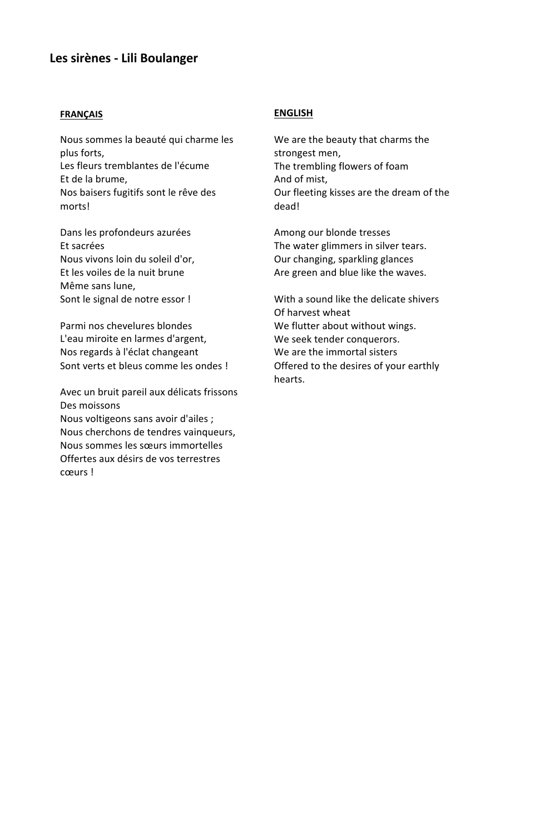# **Les sirènes - Lili Boulanger**

### **FRANÇAIS**

Nous sommes la beauté qui charme les plus forts, Les fleurs tremblantes de l'écume Et de la brume, Nos baisers fugitifs sont le rêve des morts!

Dans les profondeurs azurées Et sacrées Nous vivons loin du soleil d'or, Et les voiles de la nuit brune Même sans lune, Sont le signal de notre essor !

Parmi nos chevelures blondes L'eau miroite en larmes d'argent, Nos regards à l'éclat changeant Sont verts et bleus comme les ondes !

Avec un bruit pareil aux délicats frissons Des moissons Nous voltigeons sans avoir d'ailes ; Nous cherchons de tendres vainqueurs, Nous sommes les sœurs immortelles Offertes aux désirs de vos terrestres cœurs !

## **ENGLISH**

We are the beauty that charms the strongest men, The trembling flowers of foam And of mist, Our fleeting kisses are the dream of the dead!

Among our blonde tresses The water glimmers in silver tears. Our changing, sparkling glances Are green and blue like the waves.

With a sound like the delicate shivers Of harvest wheat We flutter about without wings. We seek tender conquerors. We are the immortal sisters Offered to the desires of your earthly hearts.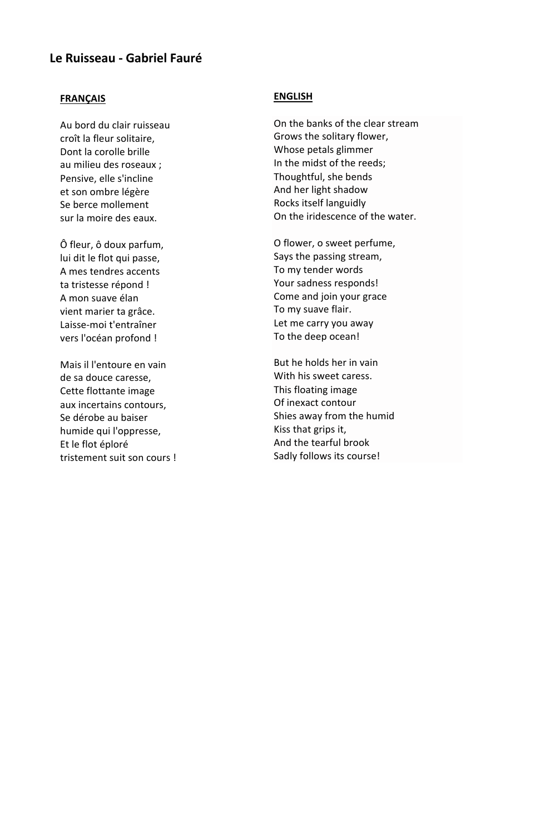# **Le Ruisseau - Gabriel Fauré**

## **FRANÇAIS**

Au bord du clair ruisseau croît la fleur solitaire, Dont la corolle brille au milieu des roseaux ; Pensive, elle s'incline et son ombre légère Se berce mollement sur la moire des eaux.

Ô fleur, ô doux parfum, lui dit le flot qui passe, A mes tendres accents ta tristesse répond ! A mon suave élan vient marier ta grâce. Laisse-moi t'entraîner vers l'océan profond !

Mais il l'entoure en vain de sa douce caresse, Cette flottante image aux incertains contours, Se dérobe au baiser humide qui l'oppresse, Et le flot éploré tristement suit son cours !

# **ENGLISH**

On the banks of the clear stream Grows the solitary flower, Whose petals glimmer In the midst of the reeds; Thoughtful, she bends And her light shadow Rocks itself languidly On the iridescence of the water.

O flower, o sweet perfume, Says the passing stream, To my tender words Your sadness responds! Come and join your grace To my suave flair. Let me carry you away To the deep ocean!

But he holds her in vain With his sweet caress. This floating image Of inexact contour Shies away from the humid Kiss that grips it, And the tearful brook Sadly follows its course!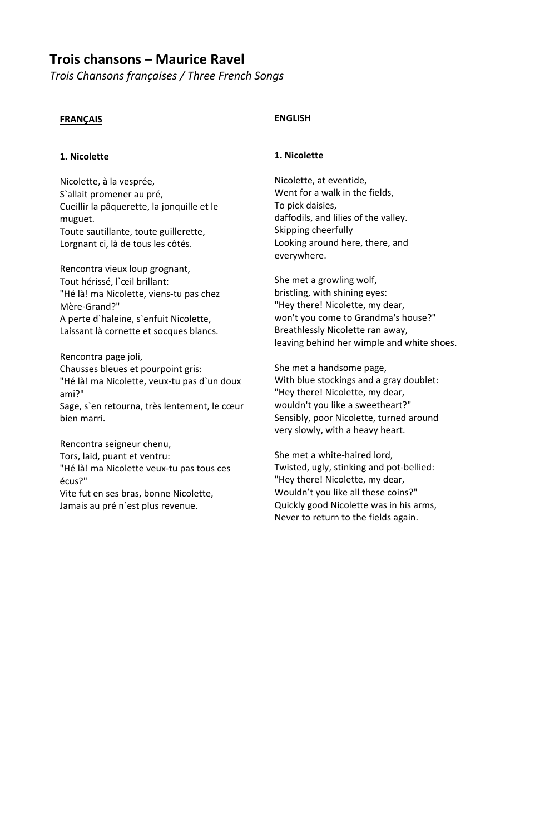# **Trois chansons – Maurice Ravel**

*Trois Chansons françaises / Three French Songs*

## **FRANÇAIS**

### **1. Nicolette**

Nicolette, à la vesprée, S`allait promener au pré, Cueillir la pâquerette, la jonquille et le muguet. Toute sautillante, toute guillerette, Lorgnant ci, là de tous les côtés.

Rencontra vieux loup grognant, Tout hérissé, l`œil brillant: "Hé là! ma Nicolette, viens-tu pas chez Mère-Grand?" A perte d`haleine, s`enfuit Nicolette, Laissant là cornette et socques blancs.

Rencontra page joli, Chausses bleues et pourpoint gris: "Hé là! ma Nicolette, veux-tu pas d`un doux ami?" Sage, s`en retourna, très lentement, le cœur bien marri.

Rencontra seigneur chenu, Tors, laid, puant et ventru: "Hé là! ma Nicolette veux-tu pas tous ces écus?" Vite fut en ses bras, bonne Nicolette, Jamais au pré n`est plus revenue.

## **ENGLISH**

### **1. Nicolette**

Nicolette, at eventide, Went for a walk in the fields, To pick daisies, daffodils, and lilies of the valley. Skipping cheerfully Looking around here, there, and everywhere.

She met a growling wolf, bristling, with shining eyes: "Hey there! Nicolette, my dear, won't you come to Grandma's house?" Breathlessly Nicolette ran away, leaving behind her wimple and white shoes.

She met a handsome page, With blue stockings and a gray doublet: "Hey there! Nicolette, my dear, wouldn't you like a sweetheart?" Sensibly, poor Nicolette, turned around very slowly, with a heavy heart.

She met a white-haired lord, Twisted, ugly, stinking and pot-bellied: "Hey there! Nicolette, my dear, Wouldn't you like all these coins?" Quickly good Nicolette was in his arms, Never to return to the fields again.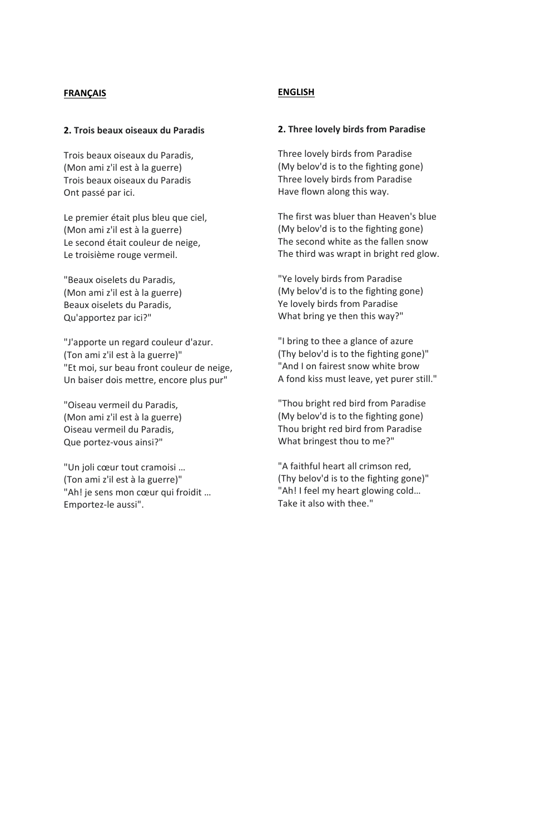### **2. Trois beaux oiseaux du Paradis**

Trois beaux oiseaux du Paradis, (Mon ami z'il est à la guerre) Trois beaux oiseaux du Paradis Ont passé par ici.

Le premier était plus bleu que ciel, (Mon ami z'il est à la guerre) Le second était couleur de neige, Le troisième rouge vermeil.

"Beaux oiselets du Paradis, (Mon ami z'il est à la guerre) Beaux oiselets du Paradis, Qu'apportez par ici?"

"J'apporte un regard couleur d'azur. (Ton ami z'il est à la guerre)" "Et moi, sur beau front couleur de neige, Un baiser dois mettre, encore plus pur"

"Oiseau vermeil du Paradis, (Mon ami z'il est à la guerre) Oiseau vermeil du Paradis, Que portez-vous ainsi?"

"Un joli cœur tout cramoisi … (Ton ami z'il est à la guerre)" "Ah! je sens mon cœur qui froidit … Emportez-le aussi".

### **ENGLISH**

### **2. Three lovely birds from Paradise**

Three lovely birds from Paradise (My belov'd is to the fighting gone) Three lovely birds from Paradise Have flown along this way.

The first was bluer than Heaven's blue (My belov'd is to the fighting gone) The second white as the fallen snow The third was wrapt in bright red glow.

"Ye lovely birds from Paradise (My belov'd is to the fighting gone) Ye lovely birds from Paradise What bring ye then this way?"

"I bring to thee a glance of azure (Thy belov'd is to the fighting gone)" "And I on fairest snow white brow A fond kiss must leave, yet purer still."

"Thou bright red bird from Paradise (My belov'd is to the fighting gone) Thou bright red bird from Paradise What bringest thou to me?"

"A faithful heart all crimson red, (Thy belov'd is to the fighting gone)" "Ah! I feel my heart glowing cold… Take it also with thee."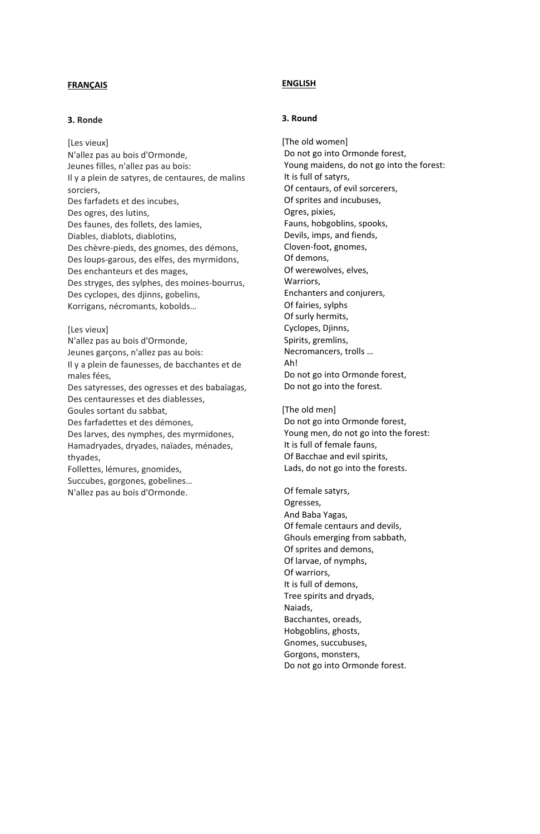### **3. Ronde**

[Les vieux] N'allez pas au bois d'Ormonde, Jeunes filles, n'allez pas au bois: Il y a plein de satyres, de centaures, de malins sorciers, Des farfadets et des incubes, Des ogres, des lutins, Des faunes, des follets, des lamies, Diables, diablots, diablotins, Des chèvre-pieds, des gnomes, des démons, Des loups-garous, des elfes, des myrmidons, Des enchanteurs et des mages, Des stryges, des sylphes, des moines-bourrus, Des cyclopes, des djinns, gobelins, Korrigans, nécromants, kobolds…

#### [Les vieux]

N'allez pas au bois d'Ormonde, Jeunes garçons, n'allez pas au bois: Il y a plein de faunesses, de bacchantes et de males fées, Des satyresses, des ogresses et des babaïagas, Des centauresses et des diablesses, Goules sortant du sabbat, Des farfadettes et des démones, Des larves, des nymphes, des myrmidones, Hamadryades, dryades, naïades, ménades, thyades, Follettes, lémures, gnomides, Succubes, gorgones, gobelines… N'allez pas au bois d'Ormonde.

### **ENGLISH**

### **3. Round**

[The old women] Do not go into Ormonde forest, Young maidens, do not go into the forest: It is full of satyrs, Of centaurs, of evil sorcerers, Of sprites and incubuses, Ogres, pixies, Fauns, hobgoblins, spooks, Devils, imps, and fiends, Cloven-foot, gnomes, Of demons, Of werewolves, elves, Warriors, Enchanters and conjurers, Of fairies, sylphs Of surly hermits, Cyclopes, Djinns, Spirits, gremlins, Necromancers, trolls … Ah! Do not go into Ormonde forest, Do not go into the forest.

[The old men] Do not go into Ormonde forest, Young men, do not go into the forest: It is full of female fauns, Of Bacchae and evil spirits, Lads, do not go into the forests.

Of female satyrs, Ogresses, And Baba Yagas, Of female centaurs and devils, Ghouls emerging from sabbath, Of sprites and demons, Of larvae, of nymphs, Of warriors, It is full of demons, Tree spirits and dryads, Naiads, Bacchantes, oreads, Hobgoblins, ghosts, Gnomes, succubuses, Gorgons, monsters, Do not go into Ormonde forest.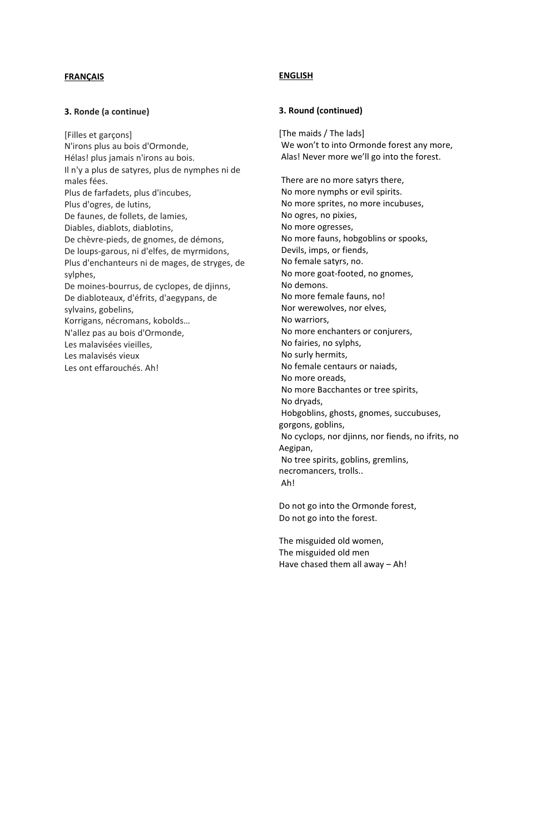### **3. Ronde (a continue)**

[Filles et garçons] N'irons plus au bois d'Ormonde, Hélas! plus jamais n'irons au bois. Il n'y a plus de satyres, plus de nymphes ni de males fées. Plus de farfadets, plus d'incubes, Plus d'ogres, de lutins, De faunes, de follets, de lamies, Diables, diablots, diablotins, De chèvre-pieds, de gnomes, de démons, De loups-garous, ni d'elfes, de myrmidons, Plus d'enchanteurs ni de mages, de stryges, de sylphes, De moines-bourrus, de cyclopes, de djinns, De diabloteaux, d'éfrits, d'aegypans, de sylvains, gobelins, Korrigans, nécromans, kobolds… N'allez pas au bois d'Ormonde, Les malavisées vieilles, Les malavisés vieux Les ont effarouchés. Ah!

### **ENGLISH**

#### **3. Round (continued)**

[The maids / The lads] We won't to into Ormonde forest any more, Alas! Never more we'll go into the forest.

There are no more satyrs there, No more nymphs or evil spirits. No more sprites, no more incubuses, No ogres, no pixies, No more ogresses, No more fauns, hobgoblins or spooks, Devils, imps, or fiends, No female satyrs, no. No more goat-footed, no gnomes, No demons. No more female fauns, no! Nor werewolves, nor elves, No warriors, No more enchanters or conjurers, No fairies, no sylphs, No surly hermits, No female centaurs or naiads, No more oreads, No more Bacchantes or tree spirits, No dryads, Hobgoblins, ghosts, gnomes, succubuses, gorgons, goblins, No cyclops, nor djinns, nor fiends, no ifrits, no Aegipan, No tree spirits, goblins, gremlins, necromancers, trolls.. Ah!

Do not go into the Ormonde forest, Do not go into the forest.

The misguided old women, The misguided old men Have chased them all away – Ah!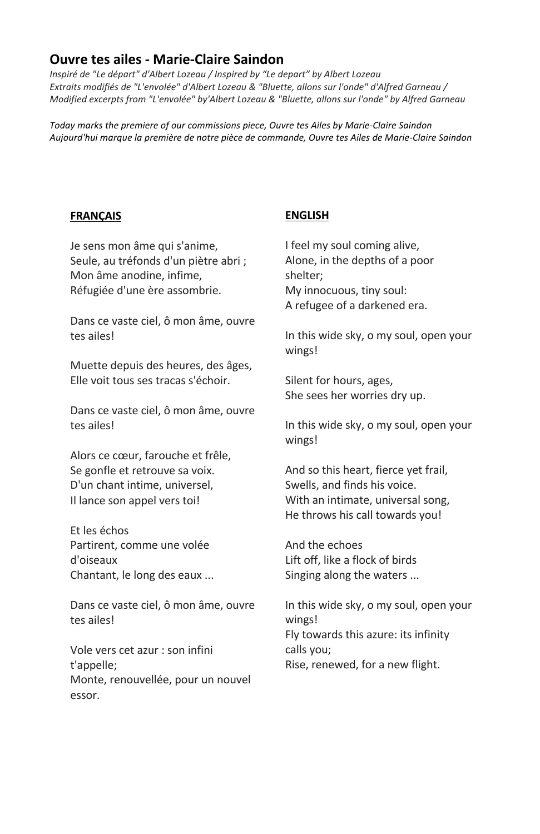# **Ouvre tes ailes - Marie-Claire Saindon**

*Inspiré de "Le départ" d'Albert Lozeau / Inspired by "Le depart" by Albert Lozeau Extraits modifiés de "L'envolée" d'Albert Lozeau & "Bluette, allons sur l'onde" d'Alfred Garneau / Modified excerpts from "L'envolée" by'Albert Lozeau & "Bluette, allons sur l'onde" by Alfred Garneau*

*Today marks the premiere of our commissions piece, Ouvre tes Ailes by Marie-Claire Saindon Aujourd'hui marque la première de notre pièce de commande, Ouvre tes Ailes de Marie-Claire Saindon*

# **FRANÇAIS**

# **ENGLISH**

Je sens mon âme qui s'anime, Seule, au tréfonds d'un piètre abri ; Mon âme anodine, infime, Réfugiée d'une ère assombrie.

Dans ce vaste ciel, ô mon âme, ouvre tes ailes!

Muette depuis des heures, des âges, Elle voit tous ses tracas s'échoir.

Dans ce vaste ciel, ô mon âme, ouvre tes ailes!

Alors ce cœur, farouche et frêle, Se gonfle et retrouve sa voix. D'un chant intime, universel, Il lance son appel vers toi!

Et les échos Partirent, comme une volée d'oiseaux Chantant, le long des eaux ...

Dans ce vaste ciel, ô mon âme, ouvre tes ailes!

Vole vers cet azur : son infini t'appelle; Monte, renouvellée, pour un nouvel essor.

I feel my soul coming alive, Alone, in the depths of a poor shelter; My innocuous, tiny soul: A refugee of a darkened era.

In this wide sky, o my soul, open your wings!

Silent for hours, ages, She sees her worries dry up.

In this wide sky, o my soul, open your wings!

And so this heart, fierce yet frail, Swells, and finds his voice. With an intimate, universal song, He throws his call towards you!

And the echoes Lift off, like a flock of birds Singing along the waters ...

In this wide sky, o my soul, open your wings! Fly towards this azure: its infinity calls you; Rise, renewed, for a new flight.